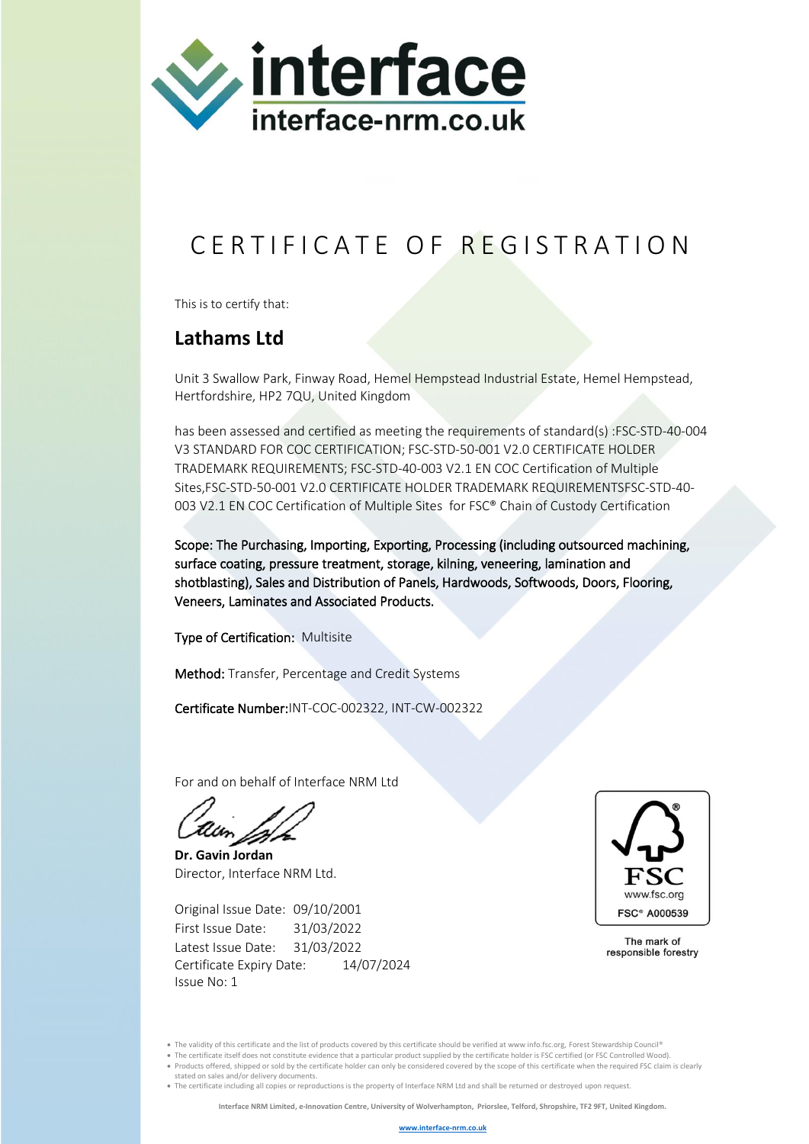

## C E R T I F I C A T E O F R E G I S T R A T I O N

This is to certify that:

## **Lathams Ltd**

Unit 3 Swallow Park, Finway Road, Hemel Hempstead Industrial Estate, Hemel Hempstead, Hertfordshire, HP2 7QU, United Kingdom

has been assessed and certified as meeting the requirements of standard(s) :FSC-STD-40-004 V3 STANDARD FOR COC CERTIFICATION; FSC-STD-50-001 V2.0 CERTIFICATE HOLDER TRADEMARK REQUIREMENTS; FSC-STD-40-003 V2.1 EN COC Certification of Multiple Sites,FSC-STD-50-001 V2.0 CERTIFICATE HOLDER TRADEMARK REQUIREMENTSFSC-STD-40- 003 V2.1 EN COC Certification of Multiple Sites for FSC® Chain of Custody Certification

Scope: The Purchasing, Importing, Exporting, Processing (including outsourced machining, surface coating, pressure treatment, storage, kilning, veneering, lamination and shotblasting), Sales and Distribution of Panels, Hardwoods, Softwoods, Doors, Flooring, Veneers, Laminates and Associated Products.

Type of Certification: Multisite

Method: Transfer, Percentage and Credit Systems

Certificate Number:INT-COC-002322, INT-CW-002322

For and on behalf of Interface NRM Ltd

**Dr. Gavin Jordan** Director, Interface NRM Ltd.

Original Issue Date: 09/10/2001 First Issue Date: 31/03/2022 Latest Issue Date: 31/03/2022 Certificate Expiry Date: 14/07/2024 Issue No: 1



The mark of responsible forestry

• The validity of this certificate and the list of products covered by this certificate should be verified at www info.fsc.org, Forest Stewardship Council®

- The certificate itself does not constitute evidence that a particular product supplied by the certificate holder is FSC certified (or FSC Controlled Wood).
- Products offered, shipped or sold by the certificate holder can only be considered covered by the scope of this certificate when the required FSC claim is clearly stated on sales and/or delivery documents.
- The certificate including all copies or reproductions is the property of Interface NRM Ltd and shall be returned or destroyed upon request.

**Interface NRM Limited, e-Innovation Centre, University of Wolverhampton, Priorslee, Telford, Shropshire, TF2 9FT, United Kingdom.**